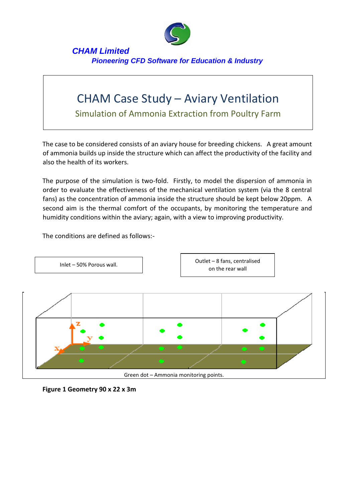

## *CHAM Limited Pioneering CFD Software for Education & Industry*

## CHAM Case Study – Aviary Ventilation

Simulation of Ammonia Extraction from Poultry Farm

The case to be considered consists of an aviary house for breeding chickens. A great amount of ammonia builds up inside the structure which can affect the productivity of the facility and also the health of its workers.

The purpose of the simulation is two-fold. Firstly, to model the dispersion of ammonia in order to evaluate the effectiveness of the mechanical ventilation system (via the 8 central fans) as the concentration of ammonia inside the structure should be kept below 20ppm. A second aim is the thermal comfort of the occupants, by monitoring the temperature and humidity conditions within the aviary; again, with a view to improving productivity.

The conditions are defined as follows:-



**Figure 1 Geometry 90 x 22 x 3m**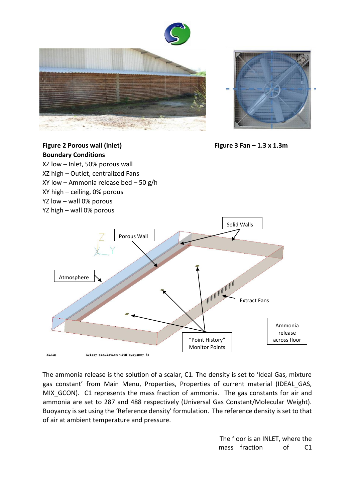







The ammonia release is the solution of a scalar, C1. The density is set to 'Ideal Gas, mixture gas constant' from Main Menu, Properties, Properties of current material (IDEAL\_GAS, MIX\_GCON). C1 represents the mass fraction of ammonia. The gas constants for air and ammonia are set to 287 and 488 respectively (Universal Gas Constant/Molecular Weight). Buoyancy is set using the 'Reference density' formulation. The reference density is set to that of air at ambient temperature and pressure.

> The floor is an INLET, where the mass fraction of C1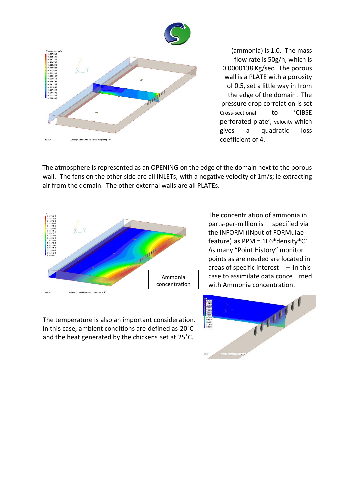

(ammonia) is 1.0. The mass flow rate is 50g/h, which is 0.0000138 Kg/sec. The porous wall is a PLATE with a porosity of 0.5, set a little way in from the edge of the domain. The pressure drop correlation is set Cross-sectional to 'CIBSE perforated plate', velocity which gives a quadratic loss coefficient of 4.

The atmosphere is represented as an OPENING on the edge of the domain next to the porous wall. The fans on the other side are all INLETs, with a negative velocity of 1m/s; ie extracting air from the domain. The other external walls are all PLATEs.



The temperature is also an important consideration. In this case, ambient conditions are defined as 20˚C and the heat generated by the chickens set at 25˚C.

The concentr ation of ammonia in parts-per-million is specified via the INFORM (INput of FORMulae feature) as PPM = 1E6\*density\*C1 . As many "Point History" monitor points as are needed are located in areas of specific interest  $-$  in this case to assimilate data conce rned with Ammonia concentration.

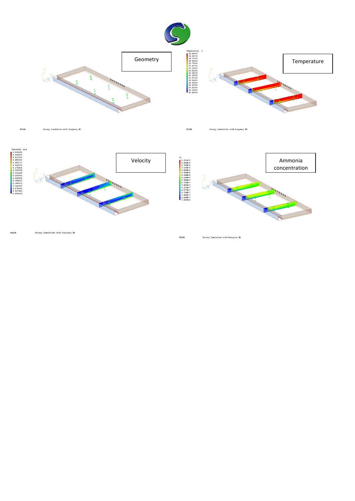

Aviary Simulation with buoyancy #6 FLAIR

FLAIR Aviary Simulation with buoyancy #6